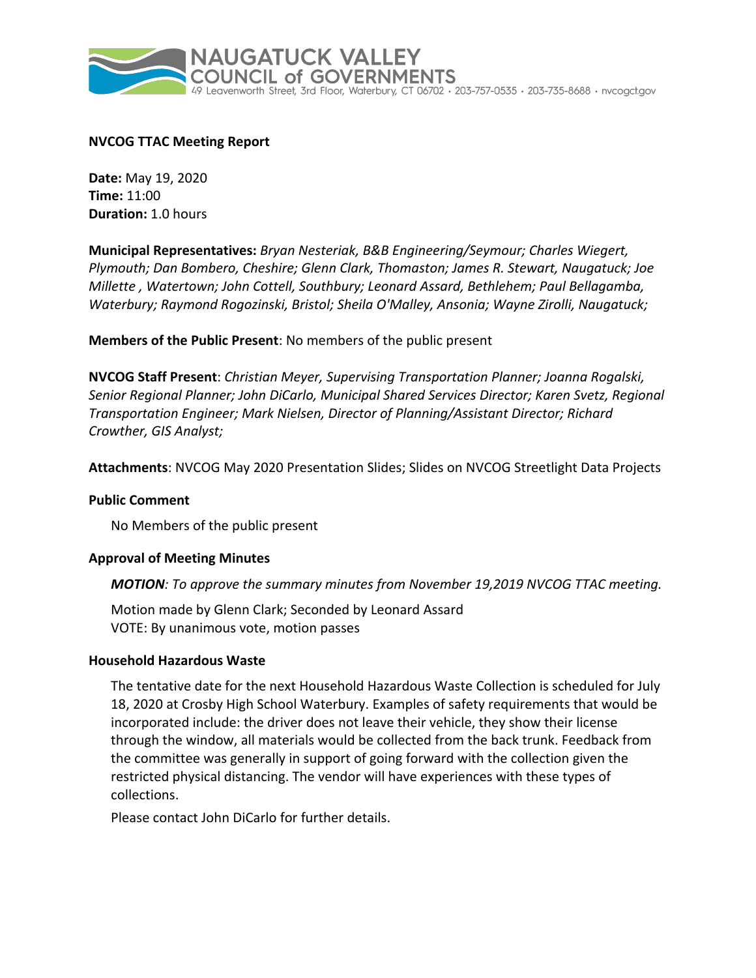

# **NVCOG TTAC Meeting Report**

**Date:** May 19, 2020 **Time:** 11:00 **Duration:** 1.0 hours

**Municipal Representatives:** *Bryan Nesteriak, B&B Engineering/Seymour; Charles Wiegert, Plymouth; Dan Bombero, Cheshire; Glenn Clark, Thomaston; James R. Stewart, Naugatuck; Joe Millette , Watertown; John Cottell, Southbury; Leonard Assard, Bethlehem; Paul Bellagamba, Waterbury; Raymond Rogozinski, Bristol; Sheila O'Malley, Ansonia; Wayne Zirolli, Naugatuck;*

**Members of the Public Present**: No members of the public present

**NVCOG Staff Present**: *Christian Meyer, Supervising Transportation Planner; Joanna Rogalski, Senior Regional Planner; John DiCarlo, Municipal Shared Services Director; Karen Svetz, Regional Transportation Engineer; Mark Nielsen, Director of Planning/Assistant Director; Richard Crowther, GIS Analyst;*

**Attachments**: NVCOG May 2020 Presentation Slides; Slides on NVCOG Streetlight Data Projects

## **Public Comment**

No Members of the public present

## **Approval of Meeting Minutes**

*MOTION: To approve the summary minutes from November 19,2019 NVCOG TTAC meeting.*

Motion made by Glenn Clark; Seconded by Leonard Assard VOTE: By unanimous vote, motion passes

## **Household Hazardous Waste**

The tentative date for the next Household Hazardous Waste Collection is scheduled for July 18, 2020 at Crosby High School Waterbury. Examples of safety requirements that would be incorporated include: the driver does not leave their vehicle, they show their license through the window, all materials would be collected from the back trunk. Feedback from the committee was generally in support of going forward with the collection given the restricted physical distancing. The vendor will have experiences with these types of collections.

Please contact John DiCarlo for further details.